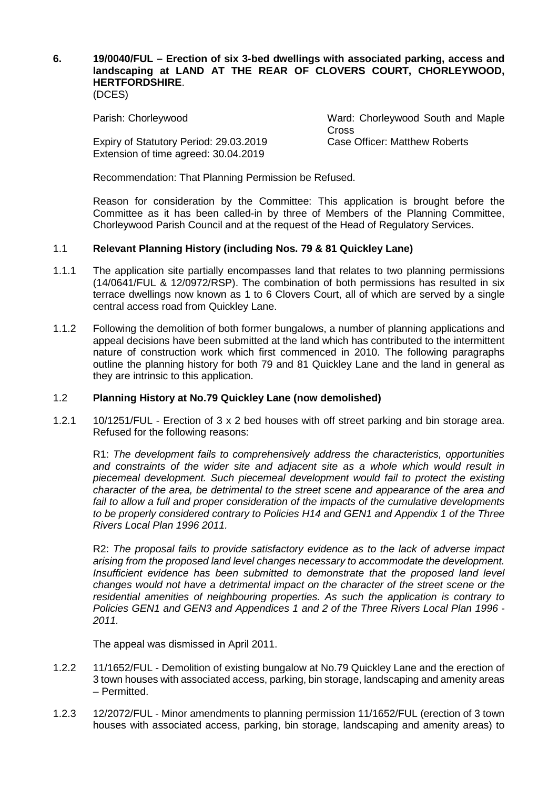# **6. 19/0040/FUL – Erection of six 3-bed dwellings with associated parking, access and landscaping at LAND AT THE REAR OF CLOVERS COURT, CHORLEYWOOD, HERTFORDSHIRE**.

(DCES)

Expiry of Statutory Period: 29.03.2019 Extension of time agreed: 30.04.2019

Parish: Chorleywood Ward: Chorleywood South and Maple **Cross** Case Officer: Matthew Roberts

Recommendation: That Planning Permission be Refused.

Reason for consideration by the Committee: This application is brought before the Committee as it has been called-in by three of Members of the Planning Committee, Chorleywood Parish Council and at the request of the Head of Regulatory Services.

### 1.1 **Relevant Planning History (including Nos. 79 & 81 Quickley Lane)**

- 1.1.1 The application site partially encompasses land that relates to two planning permissions (14/0641/FUL & 12/0972/RSP). The combination of both permissions has resulted in six terrace dwellings now known as 1 to 6 Clovers Court, all of which are served by a single central access road from Quickley Lane.
- 1.1.2 Following the demolition of both former bungalows, a number of planning applications and appeal decisions have been submitted at the land which has contributed to the intermittent nature of construction work which first commenced in 2010. The following paragraphs outline the planning history for both 79 and 81 Quickley Lane and the land in general as they are intrinsic to this application.

#### 1.2 **Planning History at No.79 Quickley Lane (now demolished)**

1.2.1 10/1251/FUL - Erection of 3 x 2 bed houses with off street parking and bin storage area. Refused for the following reasons:

R1: *The development fails to comprehensively address the characteristics, opportunities and constraints of the wider site and adjacent site as a whole which would result in piecemeal development. Such piecemeal development would fail to protect the existing character of the area, be detrimental to the street scene and appearance of the area and*  fail to allow a full and proper consideration of the impacts of the cumulative developments *to be properly considered contrary to Policies H14 and GEN1 and Appendix 1 of the Three Rivers Local Plan 1996 2011.*

R2: *The proposal fails to provide satisfactory evidence as to the lack of adverse impact arising from the proposed land level changes necessary to accommodate the development. Insufficient evidence has been submitted to demonstrate that the proposed land level changes would not have a detrimental impact on the character of the street scene or the residential amenities of neighbouring properties. As such the application is contrary to Policies GEN1 and GEN3 and Appendices 1 and 2 of the Three Rivers Local Plan 1996 - 2011.*

The appeal was dismissed in April 2011.

- 1.2.2 11/1652/FUL Demolition of existing bungalow at No.79 Quickley Lane and the erection of 3 town houses with associated access, parking, bin storage, landscaping and amenity areas – Permitted.
- 1.2.3 12/2072/FUL Minor amendments to planning permission 11/1652/FUL (erection of 3 town houses with associated access, parking, bin storage, landscaping and amenity areas) to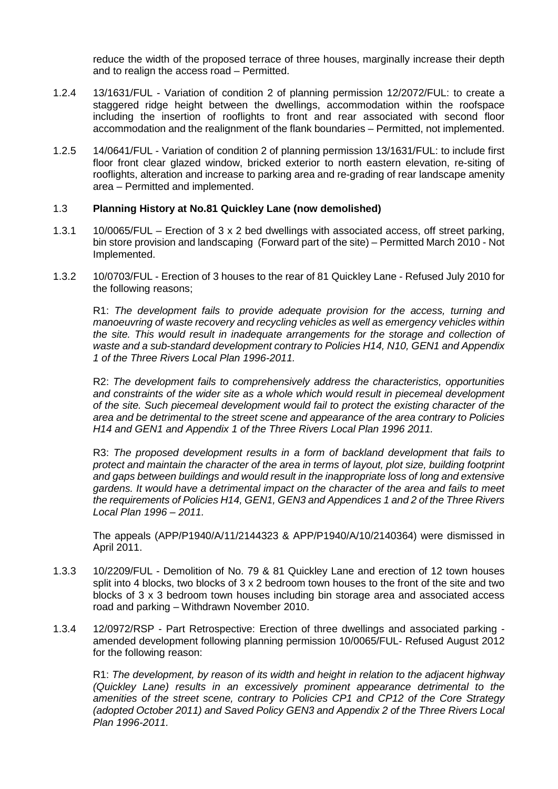reduce the width of the proposed terrace of three houses, marginally increase their depth and to realign the access road – Permitted.

- 1.2.4 13/1631/FUL Variation of condition 2 of planning permission 12/2072/FUL: to create a staggered ridge height between the dwellings, accommodation within the roofspace including the insertion of rooflights to front and rear associated with second floor accommodation and the realignment of the flank boundaries – Permitted, not implemented.
- 1.2.5 14/0641/FUL Variation of condition 2 of planning permission 13/1631/FUL: to include first floor front clear glazed window, bricked exterior to north eastern elevation, re-siting of rooflights, alteration and increase to parking area and re-grading of rear landscape amenity area – Permitted and implemented.

### 1.3 **Planning History at No.81 Quickley Lane (now demolished)**

- 1.3.1 10/0065/FUL Erection of 3 x 2 bed dwellings with associated access, off street parking, bin store provision and landscaping (Forward part of the site) – Permitted March 2010 - Not Implemented.
- 1.3.2 10/0703/FUL Erection of 3 houses to the rear of 81 Quickley Lane Refused July 2010 for the following reasons;

R1: *The development fails to provide adequate provision for the access, turning and manoeuvring of waste recovery and recycling vehicles as well as emergency vehicles within the site. This would result in inadequate arrangements for the storage and collection of waste and a sub-standard development contrary to Policies H14, N10, GEN1 and Appendix 1 of the Three Rivers Local Plan 1996-2011.*

R2: *The development fails to comprehensively address the characteristics, opportunities and constraints of the wider site as a whole which would result in piecemeal development of the site. Such piecemeal development would fail to protect the existing character of the area and be detrimental to the street scene and appearance of the area contrary to Policies H14 and GEN1 and Appendix 1 of the Three Rivers Local Plan 1996 2011.*

R3: *The proposed development results in a form of backland development that fails to protect and maintain the character of the area in terms of layout, plot size, building footprint and gaps between buildings and would result in the inappropriate loss of long and extensive gardens. It would have a detrimental impact on the character of the area and fails to meet the requirements of Policies H14, GEN1, GEN3 and Appendices 1 and 2 of the Three Rivers Local Plan 1996 – 2011.*

The appeals (APP/P1940/A/11/2144323 & APP/P1940/A/10/2140364) were dismissed in April 2011.

- 1.3.3 10/2209/FUL Demolition of No. 79 & 81 Quickley Lane and erection of 12 town houses split into 4 blocks, two blocks of  $3 \times 2$  bedroom town houses to the front of the site and two blocks of 3 x 3 bedroom town houses including bin storage area and associated access road and parking – Withdrawn November 2010.
- 1.3.4 12/0972/RSP Part Retrospective: Erection of three dwellings and associated parking amended development following planning permission 10/0065/FUL- Refused August 2012 for the following reason:

R1: *The development, by reason of its width and height in relation to the adjacent highway (Quickley Lane) results in an excessively prominent appearance detrimental to the amenities of the street scene, contrary to Policies CP1 and CP12 of the Core Strategy (adopted October 2011) and Saved Policy GEN3 and Appendix 2 of the Three Rivers Local Plan 1996-2011.*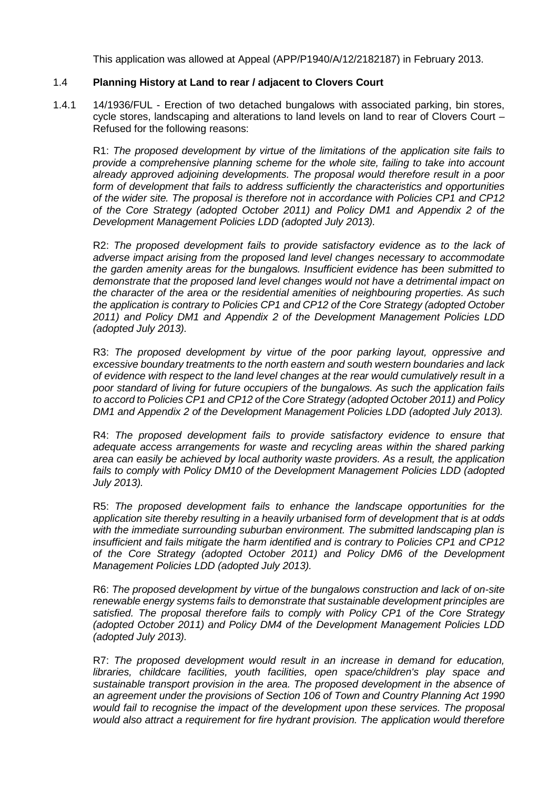This application was allowed at Appeal (APP/P1940/A/12/2182187) in February 2013.

## 1.4 **Planning History at Land to rear / adjacent to Clovers Court**

1.4.1 14/1936/FUL - Erection of two detached bungalows with associated parking, bin stores, cycle stores, landscaping and alterations to land levels on land to rear of Clovers Court – Refused for the following reasons:

R1: *The proposed development by virtue of the limitations of the application site fails to provide a comprehensive planning scheme for the whole site, failing to take into account already approved adjoining developments. The proposal would therefore result in a poor form of development that fails to address sufficiently the characteristics and opportunities of the wider site. The proposal is therefore not in accordance with Policies CP1 and CP12 of the Core Strategy (adopted October 2011) and Policy DM1 and Appendix 2 of the Development Management Policies LDD (adopted July 2013).*

R2: *The proposed development fails to provide satisfactory evidence as to the lack of adverse impact arising from the proposed land level changes necessary to accommodate the garden amenity areas for the bungalows. Insufficient evidence has been submitted to demonstrate that the proposed land level changes would not have a detrimental impact on the character of the area or the residential amenities of neighbouring properties. As such the application is contrary to Policies CP1 and CP12 of the Core Strategy (adopted October 2011) and Policy DM1 and Appendix 2 of the Development Management Policies LDD (adopted July 2013).*

R3: *The proposed development by virtue of the poor parking layout, oppressive and excessive boundary treatments to the north eastern and south western boundaries and lack of evidence with respect to the land level changes at the rear would cumulatively result in a poor standard of living for future occupiers of the bungalows. As such the application fails to accord to Policies CP1 and CP12 of the Core Strategy (adopted October 2011) and Policy DM1 and Appendix 2 of the Development Management Policies LDD (adopted July 2013).*

R4: *The proposed development fails to provide satisfactory evidence to ensure that adequate access arrangements for waste and recycling areas within the shared parking area can easily be achieved by local authority waste providers. As a result, the application*  fails to comply with Policy DM10 of the Development Management Policies LDD (adopted *July 2013).*

R5: *The proposed development fails to enhance the landscape opportunities for the application site thereby resulting in a heavily urbanised form of development that is at odds with the immediate surrounding suburban environment. The submitted landscaping plan is insufficient and fails mitigate the harm identified and is contrary to Policies CP1 and CP12 of the Core Strategy (adopted October 2011) and Policy DM6 of the Development Management Policies LDD (adopted July 2013).*

R6: *The proposed development by virtue of the bungalows construction and lack of on-site renewable energy systems fails to demonstrate that sustainable development principles are satisfied. The proposal therefore fails to comply with Policy CP1 of the Core Strategy (adopted October 2011) and Policy DM4 of the Development Management Policies LDD (adopted July 2013).*

R7: *The proposed development would result in an increase in demand for education, libraries, childcare facilities, youth facilities, open space/children's play space and sustainable transport provision in the area. The proposed development in the absence of an agreement under the provisions of Section 106 of Town and Country Planning Act 1990 would fail to recognise the impact of the development upon these services. The proposal would also attract a requirement for fire hydrant provision. The application would therefore*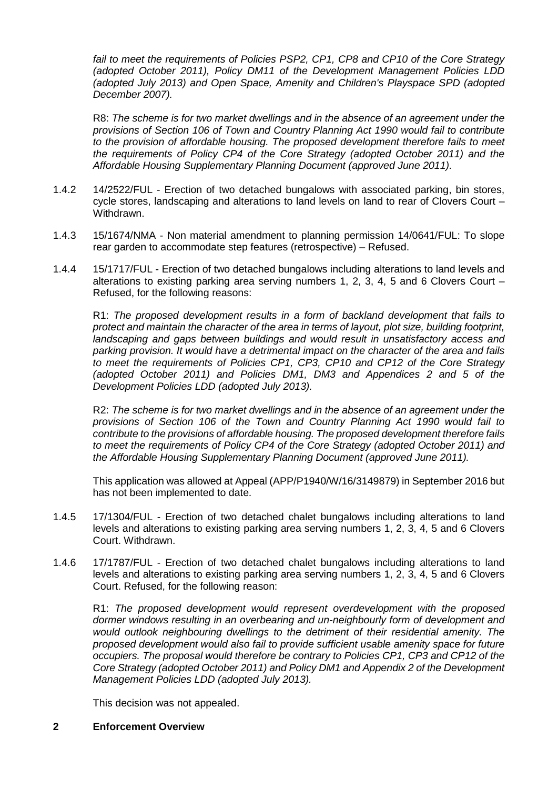*fail to meet the requirements of Policies PSP2, CP1, CP8 and CP10 of the Core Strategy (adopted October 2011), Policy DM11 of the Development Management Policies LDD (adopted July 2013) and Open Space, Amenity and Children's Playspace SPD (adopted December 2007).*

R8: *The scheme is for two market dwellings and in the absence of an agreement under the provisions of Section 106 of Town and Country Planning Act 1990 would fail to contribute to the provision of affordable housing. The proposed development therefore fails to meet the requirements of Policy CP4 of the Core Strategy (adopted October 2011) and the Affordable Housing Supplementary Planning Document (approved June 2011).*

- 1.4.2 14/2522/FUL Erection of two detached bungalows with associated parking, bin stores, cycle stores, landscaping and alterations to land levels on land to rear of Clovers Court – Withdrawn.
- 1.4.3 15/1674/NMA Non material amendment to planning permission 14/0641/FUL: To slope rear garden to accommodate step features (retrospective) – Refused.
- 1.4.4 15/1717/FUL Erection of two detached bungalows including alterations to land levels and alterations to existing parking area serving numbers 1, 2, 3, 4, 5 and 6 Clovers Court – Refused, for the following reasons:

R1: *The proposed development results in a form of backland development that fails to protect and maintain the character of the area in terms of layout, plot size, building footprint, landscaping and gaps between buildings and would result in unsatisfactory access and parking provision. It would have a detrimental impact on the character of the area and fails to meet the requirements of Policies CP1, CP3, CP10 and CP12 of the Core Strategy (adopted October 2011) and Policies DM1, DM3 and Appendices 2 and 5 of the Development Policies LDD (adopted July 2013).*

R2: *The scheme is for two market dwellings and in the absence of an agreement under the provisions of Section 106 of the Town and Country Planning Act 1990 would fail to contribute to the provisions of affordable housing. The proposed development therefore fails to meet the requirements of Policy CP4 of the Core Strategy (adopted October 2011) and the Affordable Housing Supplementary Planning Document (approved June 2011).*

This application was allowed at Appeal (APP/P1940/W/16/3149879) in September 2016 but has not been implemented to date.

- 1.4.5 17/1304/FUL Erection of two detached chalet bungalows including alterations to land levels and alterations to existing parking area serving numbers 1, 2, 3, 4, 5 and 6 Clovers Court. Withdrawn.
- 1.4.6 17/1787/FUL Erection of two detached chalet bungalows including alterations to land levels and alterations to existing parking area serving numbers 1, 2, 3, 4, 5 and 6 Clovers Court. Refused, for the following reason:

R1: *The proposed development would represent overdevelopment with the proposed dormer windows resulting in an overbearing and un-neighbourly form of development and would outlook neighbouring dwellings to the detriment of their residential amenity. The proposed development would also fail to provide sufficient usable amenity space for future occupiers. The proposal would therefore be contrary to Policies CP1, CP3 and CP12 of the Core Strategy (adopted October 2011) and Policy DM1 and Appendix 2 of the Development Management Policies LDD (adopted July 2013).*

This decision was not appealed.

### **2 Enforcement Overview**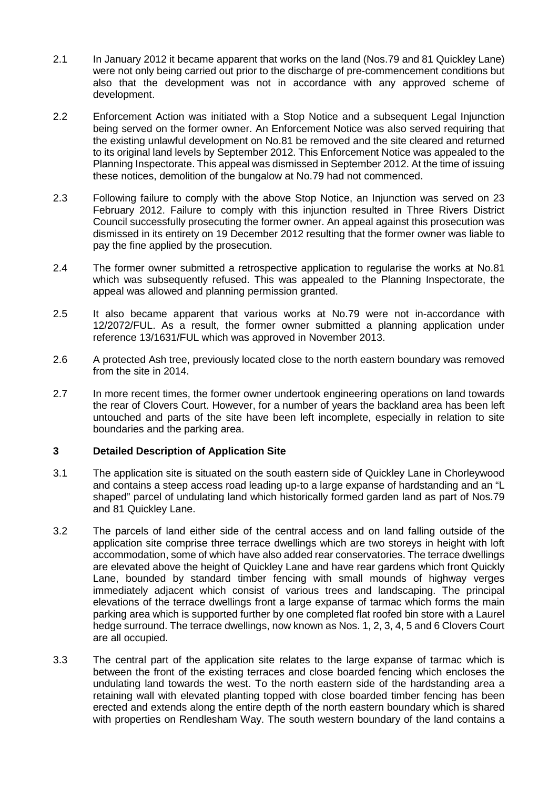- 2.1 In January 2012 it became apparent that works on the land (Nos.79 and 81 Quickley Lane) were not only being carried out prior to the discharge of pre-commencement conditions but also that the development was not in accordance with any approved scheme of development.
- 2.2 Enforcement Action was initiated with a Stop Notice and a subsequent Legal Injunction being served on the former owner. An Enforcement Notice was also served requiring that the existing unlawful development on No.81 be removed and the site cleared and returned to its original land levels by September 2012. This Enforcement Notice was appealed to the Planning Inspectorate. This appeal was dismissed in September 2012. At the time of issuing these notices, demolition of the bungalow at No.79 had not commenced.
- 2.3 Following failure to comply with the above Stop Notice, an Injunction was served on 23 February 2012. Failure to comply with this injunction resulted in Three Rivers District Council successfully prosecuting the former owner. An appeal against this prosecution was dismissed in its entirety on 19 December 2012 resulting that the former owner was liable to pay the fine applied by the prosecution.
- 2.4 The former owner submitted a retrospective application to regularise the works at No.81 which was subsequently refused. This was appealed to the Planning Inspectorate, the appeal was allowed and planning permission granted.
- 2.5 It also became apparent that various works at No.79 were not in-accordance with 12/2072/FUL. As a result, the former owner submitted a planning application under reference 13/1631/FUL which was approved in November 2013.
- 2.6 A protected Ash tree, previously located close to the north eastern boundary was removed from the site in 2014.
- 2.7 In more recent times, the former owner undertook engineering operations on land towards the rear of Clovers Court. However, for a number of years the backland area has been left untouched and parts of the site have been left incomplete, especially in relation to site boundaries and the parking area.

### **3 Detailed Description of Application Site**

- 3.1 The application site is situated on the south eastern side of Quickley Lane in Chorleywood and contains a steep access road leading up-to a large expanse of hardstanding and an "L shaped" parcel of undulating land which historically formed garden land as part of Nos.79 and 81 Quickley Lane.
- 3.2 The parcels of land either side of the central access and on land falling outside of the application site comprise three terrace dwellings which are two storeys in height with loft accommodation, some of which have also added rear conservatories. The terrace dwellings are elevated above the height of Quickley Lane and have rear gardens which front Quickly Lane, bounded by standard timber fencing with small mounds of highway verges immediately adjacent which consist of various trees and landscaping. The principal elevations of the terrace dwellings front a large expanse of tarmac which forms the main parking area which is supported further by one completed flat roofed bin store with a Laurel hedge surround. The terrace dwellings, now known as Nos. 1, 2, 3, 4, 5 and 6 Clovers Court are all occupied.
- 3.3 The central part of the application site relates to the large expanse of tarmac which is between the front of the existing terraces and close boarded fencing which encloses the undulating land towards the west. To the north eastern side of the hardstanding area a retaining wall with elevated planting topped with close boarded timber fencing has been erected and extends along the entire depth of the north eastern boundary which is shared with properties on Rendlesham Way. The south western boundary of the land contains a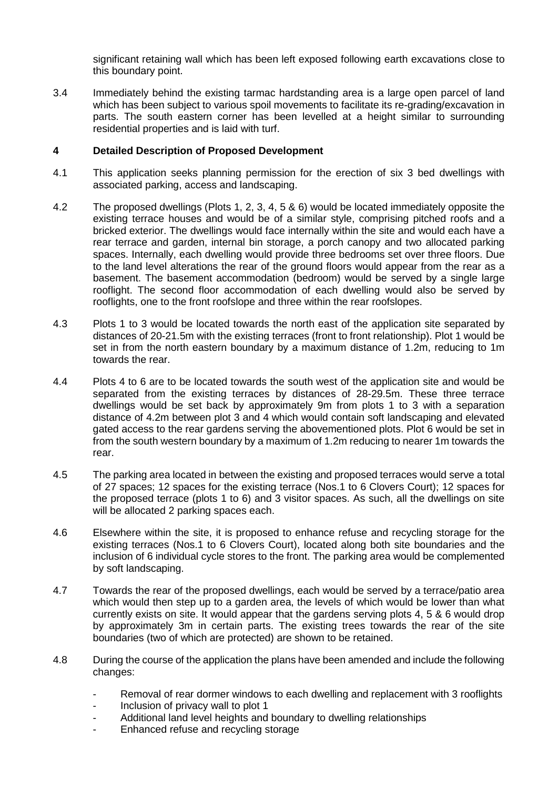significant retaining wall which has been left exposed following earth excavations close to this boundary point.

3.4 Immediately behind the existing tarmac hardstanding area is a large open parcel of land which has been subject to various spoil movements to facilitate its re-grading/excavation in parts. The south eastern corner has been levelled at a height similar to surrounding residential properties and is laid with turf.

### **4 Detailed Description of Proposed Development**

- 4.1 This application seeks planning permission for the erection of six 3 bed dwellings with associated parking, access and landscaping.
- 4.2 The proposed dwellings (Plots 1, 2, 3, 4, 5 & 6) would be located immediately opposite the existing terrace houses and would be of a similar style, comprising pitched roofs and a bricked exterior. The dwellings would face internally within the site and would each have a rear terrace and garden, internal bin storage, a porch canopy and two allocated parking spaces. Internally, each dwelling would provide three bedrooms set over three floors. Due to the land level alterations the rear of the ground floors would appear from the rear as a basement. The basement accommodation (bedroom) would be served by a single large rooflight. The second floor accommodation of each dwelling would also be served by rooflights, one to the front roofslope and three within the rear roofslopes.
- 4.3 Plots 1 to 3 would be located towards the north east of the application site separated by distances of 20-21.5m with the existing terraces (front to front relationship). Plot 1 would be set in from the north eastern boundary by a maximum distance of 1.2m, reducing to 1m towards the rear.
- 4.4 Plots 4 to 6 are to be located towards the south west of the application site and would be separated from the existing terraces by distances of 28-29.5m. These three terrace dwellings would be set back by approximately 9m from plots 1 to 3 with a separation distance of 4.2m between plot 3 and 4 which would contain soft landscaping and elevated gated access to the rear gardens serving the abovementioned plots. Plot 6 would be set in from the south western boundary by a maximum of 1.2m reducing to nearer 1m towards the rear.
- 4.5 The parking area located in between the existing and proposed terraces would serve a total of 27 spaces; 12 spaces for the existing terrace (Nos.1 to 6 Clovers Court); 12 spaces for the proposed terrace (plots 1 to 6) and 3 visitor spaces. As such, all the dwellings on site will be allocated 2 parking spaces each.
- 4.6 Elsewhere within the site, it is proposed to enhance refuse and recycling storage for the existing terraces (Nos.1 to 6 Clovers Court), located along both site boundaries and the inclusion of 6 individual cycle stores to the front. The parking area would be complemented by soft landscaping.
- 4.7 Towards the rear of the proposed dwellings, each would be served by a terrace/patio area which would then step up to a garden area, the levels of which would be lower than what currently exists on site. It would appear that the gardens serving plots 4, 5 & 6 would drop by approximately 3m in certain parts. The existing trees towards the rear of the site boundaries (two of which are protected) are shown to be retained.
- 4.8 During the course of the application the plans have been amended and include the following changes:
	- Removal of rear dormer windows to each dwelling and replacement with 3 rooflights
	- Inclusion of privacy wall to plot 1
	- Additional land level heights and boundary to dwelling relationships
	- Enhanced refuse and recycling storage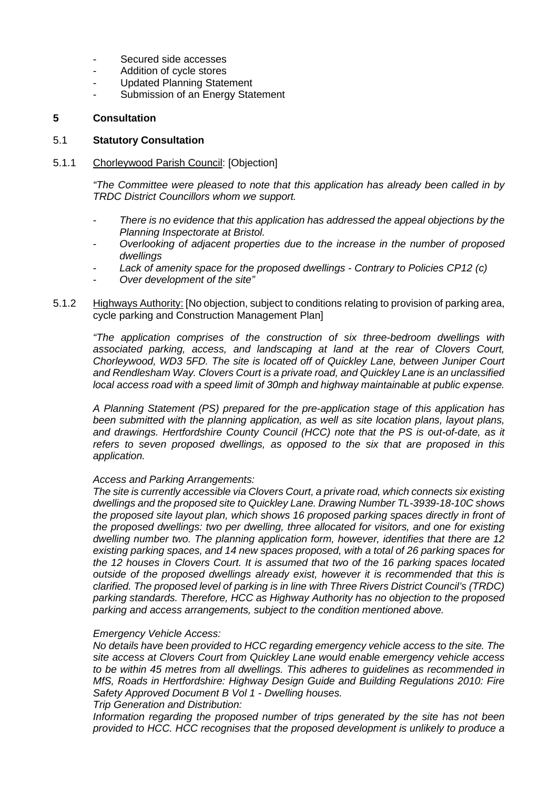- Secured side accesses
- Addition of cycle stores
- Updated Planning Statement
- Submission of an Energy Statement

#### **5 Consultation**

#### 5.1 **Statutory Consultation**

#### 5.1.1 Chorleywood Parish Council: [Objection]

*"The Committee were pleased to note that this application has already been called in by TRDC District Councillors whom we support.*

- *There is no evidence that this application has addressed the appeal objections by the Planning Inspectorate at Bristol.*
- *Overlooking of adjacent properties due to the increase in the number of proposed dwellings*
- *Lack of amenity space for the proposed dwellings - Contrary to Policies CP12 (c)*
- *Over development of the site"*
- 5.1.2 Highways Authority: [No objection, subject to conditions relating to provision of parking area, cycle parking and Construction Management Plan]

*"The application comprises of the construction of six three-bedroom dwellings with associated parking, access, and landscaping at land at the rear of Clovers Court, Chorleywood, WD3 5FD. The site is located off of Quickley Lane, between Juniper Court and Rendlesham Way. Clovers Court is a private road, and Quickley Lane is an unclassified local access road with a speed limit of 30mph and highway maintainable at public expense.*

*A Planning Statement (PS) prepared for the pre-application stage of this application has been submitted with the planning application, as well as site location plans, layout plans, and drawings. Hertfordshire County Council (HCC) note that the PS is out-of-date, as it refers to seven proposed dwellings, as opposed to the six that are proposed in this application.*

#### *Access and Parking Arrangements:*

*The site is currently accessible via Clovers Court, a private road, which connects six existing dwellings and the proposed site to Quickley Lane. Drawing Number TL-3939-18-10C shows the proposed site layout plan, which shows 16 proposed parking spaces directly in front of the proposed dwellings: two per dwelling, three allocated for visitors, and one for existing dwelling number two. The planning application form, however, identifies that there are 12 existing parking spaces, and 14 new spaces proposed, with a total of 26 parking spaces for the 12 houses in Clovers Court. It is assumed that two of the 16 parking spaces located outside of the proposed dwellings already exist, however it is recommended that this is clarified. The proposed level of parking is in line with Three Rivers District Council's (TRDC) parking standards. Therefore, HCC as Highway Authority has no objection to the proposed parking and access arrangements, subject to the condition mentioned above.*

### *Emergency Vehicle Access:*

*No details have been provided to HCC regarding emergency vehicle access to the site. The site access at Clovers Court from Quickley Lane would enable emergency vehicle access to be within 45 metres from all dwellings. This adheres to guidelines as recommended in MfS, Roads in Hertfordshire: Highway Design Guide and Building Regulations 2010: Fire Safety Approved Document B Vol 1 - Dwelling houses.* 

*Trip Generation and Distribution:* 

*Information regarding the proposed number of trips generated by the site has not been provided to HCC. HCC recognises that the proposed development is unlikely to produce a*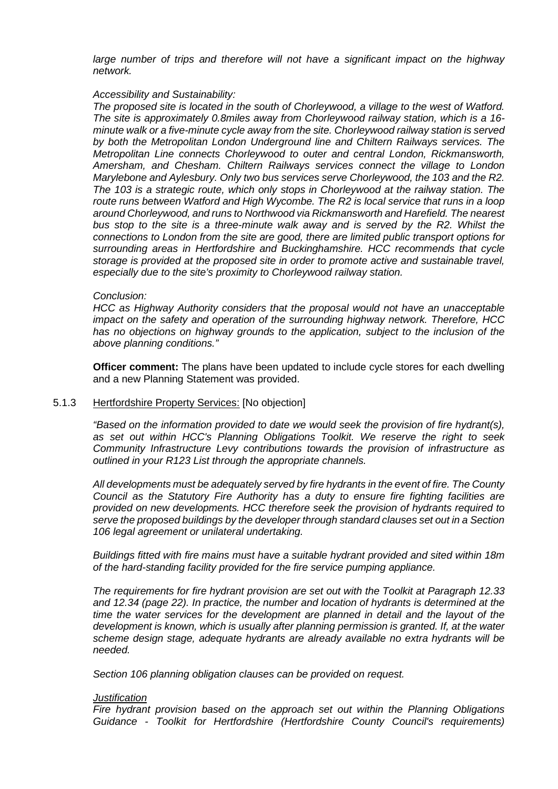*large number of trips and therefore will not have a significant impact on the highway network.* 

#### *Accessibility and Sustainability:*

*The proposed site is located in the south of Chorleywood, a village to the west of Watford. The site is approximately 0.8miles away from Chorleywood railway station, which is a 16 minute walk or a five-minute cycle away from the site. Chorleywood railway station is served by both the Metropolitan London Underground line and Chiltern Railways services. The Metropolitan Line connects Chorleywood to outer and central London, Rickmansworth, Amersham, and Chesham. Chiltern Railways services connect the village to London Marylebone and Aylesbury. Only two bus services serve Chorleywood, the 103 and the R2. The 103 is a strategic route, which only stops in Chorleywood at the railway station. The route runs between Watford and High Wycombe. The R2 is local service that runs in a loop around Chorleywood, and runs to Northwood via Rickmansworth and Harefield. The nearest bus stop to the site is a three-minute walk away and is served by the R2. Whilst the connections to London from the site are good, there are limited public transport options for surrounding areas in Hertfordshire and Buckinghamshire. HCC recommends that cycle storage is provided at the proposed site in order to promote active and sustainable travel, especially due to the site's proximity to Chorleywood railway station.*

#### *Conclusion:*

*HCC as Highway Authority considers that the proposal would not have an unacceptable impact on the safety and operation of the surrounding highway network. Therefore, HCC has no objections on highway grounds to the application, subject to the inclusion of the above planning conditions."*

**Officer comment:** The plans have been updated to include cycle stores for each dwelling and a new Planning Statement was provided.

#### 5.1.3 Hertfordshire Property Services: [No objection]

*"Based on the information provided to date we would seek the provision of fire hydrant(s), as set out within HCC's Planning Obligations Toolkit. We reserve the right to seek Community Infrastructure Levy contributions towards the provision of infrastructure as outlined in your R123 List through the appropriate channels.*

*All developments must be adequately served by fire hydrants in the event of fire. The County Council as the Statutory Fire Authority has a duty to ensure fire fighting facilities are provided on new developments. HCC therefore seek the provision of hydrants required to serve the proposed buildings by the developer through standard clauses set out in a Section 106 legal agreement or unilateral undertaking.* 

*Buildings fitted with fire mains must have a suitable hydrant provided and sited within 18m of the hard-standing facility provided for the fire service pumping appliance.* 

*The requirements for fire hydrant provision are set out with the Toolkit at Paragraph 12.33 and 12.34 (page 22). In practice, the number and location of hydrants is determined at the time the water services for the development are planned in detail and the layout of the development is known, which is usually after planning permission is granted. If, at the water scheme design stage, adequate hydrants are already available no extra hydrants will be needed.* 

*Section 106 planning obligation clauses can be provided on request.*

#### *Justification*

*Fire hydrant provision based on the approach set out within the Planning Obligations Guidance - Toolkit for Hertfordshire (Hertfordshire County Council's requirements)*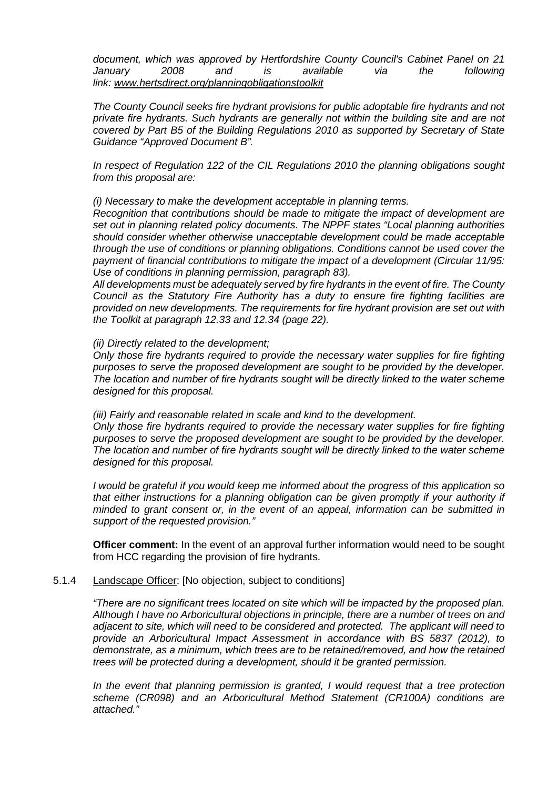*document, which was approved by Hertfordshire County Council's Cabinet Panel on 21 January 2008 and is available via the following link: [www.hertsdirect.org/planningobligationstoolkit](http://www.hertsdirect.org/planningobligationstoolkit)*

*The County Council seeks fire hydrant provisions for public adoptable fire hydrants and not private fire hydrants. Such hydrants are generally not within the building site and are not covered by Part B5 of the Building Regulations 2010 as supported by Secretary of State Guidance "Approved Document B".*

*In respect of Regulation 122 of the CIL Regulations 2010 the planning obligations sought from this proposal are:* 

*(i) Necessary to make the development acceptable in planning terms.*

*Recognition that contributions should be made to mitigate the impact of development are set out in planning related policy documents. The NPPF states "Local planning authorities should consider whether otherwise unacceptable development could be made acceptable through the use of conditions or planning obligations. Conditions cannot be used cover the payment of financial contributions to mitigate the impact of a development (Circular 11/95: Use of conditions in planning permission, paragraph 83).*

*All developments must be adequately served by fire hydrants in the event of fire. The County Council as the Statutory Fire Authority has a duty to ensure fire fighting facilities are provided on new developments. The requirements for fire hydrant provision are set out with the Toolkit at paragraph 12.33 and 12.34 (page 22).*

*(ii) Directly related to the development;* 

*Only those fire hydrants required to provide the necessary water supplies for fire fighting purposes to serve the proposed development are sought to be provided by the developer. The location and number of fire hydrants sought will be directly linked to the water scheme designed for this proposal.*

*(iii) Fairly and reasonable related in scale and kind to the development.*

*Only those fire hydrants required to provide the necessary water supplies for fire fighting purposes to serve the proposed development are sought to be provided by the developer. The location and number of fire hydrants sought will be directly linked to the water scheme designed for this proposal.*

*I would be grateful if you would keep me informed about the progress of this application so that either instructions for a planning obligation can be given promptly if your authority if minded to grant consent or, in the event of an appeal, information can be submitted in support of the requested provision."*

**Officer comment:** In the event of an approval further information would need to be sought from HCC regarding the provision of fire hydrants.

#### 5.1.4 Landscape Officer: [No objection, subject to conditions]

*"There are no significant trees located on site which will be impacted by the proposed plan. Although I have no Arboricultural objections in principle, there are a number of trees on and adjacent to site, which will need to be considered and protected. The applicant will need to provide an Arboricultural Impact Assessment in accordance with BS 5837 (2012), to demonstrate, as a minimum, which trees are to be retained/removed, and how the retained trees will be protected during a development, should it be granted permission.*

*In the event that planning permission is granted, I would request that a tree protection scheme (CR098) and an Arboricultural Method Statement (CR100A) conditions are attached."*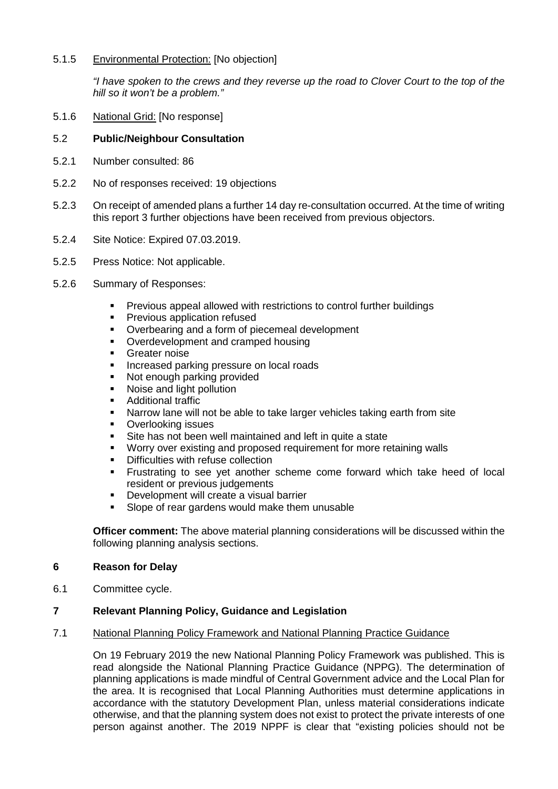### 5.1.5 Environmental Protection: [No objection]

*"I have spoken to the crews and they reverse up the road to Clover Court to the top of the hill so it won't be a problem."*

5.1.6 National Grid: [No response]

#### 5.2 **Public/Neighbour Consultation**

- 5.2.1 Number consulted: 86
- 5.2.2 No of responses received: 19 objections
- 5.2.3 On receipt of amended plans a further 14 day re-consultation occurred. At the time of writing this report 3 further objections have been received from previous objectors.
- 5.2.4 Site Notice: Expired 07.03.2019.
- 5.2.5 Press Notice: Not applicable.
- 5.2.6 Summary of Responses:
	- Previous appeal allowed with restrictions to control further buildings
	- **Previous application refused**
	- Overbearing and a form of piecemeal development
	- Overdevelopment and cramped housing
	- Greater noise
	- **Increased parking pressure on local roads**
	- Not enough parking provided
	- Noise and light pollution
	- Additional traffic
	- Narrow lane will not be able to take larger vehicles taking earth from site
	- Overlooking issues
	- Site has not been well maintained and left in quite a state
	- Worry over existing and proposed requirement for more retaining walls
	- Difficulties with refuse collection
	- **Frustrating to see yet another scheme come forward which take heed of local** resident or previous judgements
	- Development will create a visual barrier
	- Slope of rear gardens would make them unusable

**Officer comment:** The above material planning considerations will be discussed within the following planning analysis sections.

### **6 Reason for Delay**

6.1 Committee cycle.

### **7 Relevant Planning Policy, Guidance and Legislation**

#### 7.1 National Planning Policy Framework and National Planning Practice Guidance

On 19 February 2019 the new National Planning Policy Framework was published. This is read alongside the National Planning Practice Guidance (NPPG). The determination of planning applications is made mindful of Central Government advice and the Local Plan for the area. It is recognised that Local Planning Authorities must determine applications in accordance with the statutory Development Plan, unless material considerations indicate otherwise, and that the planning system does not exist to protect the private interests of one person against another. The 2019 NPPF is clear that "existing policies should not be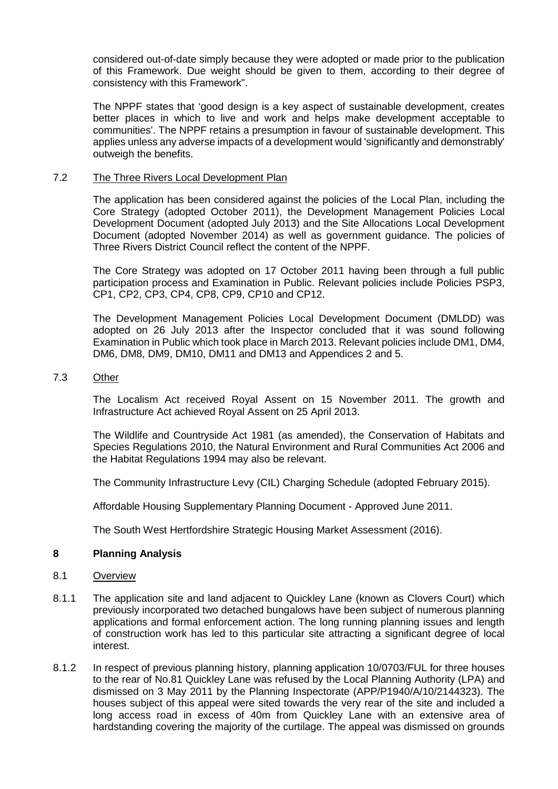considered out-of-date simply because they were adopted or made prior to the publication of this Framework. Due weight should be given to them, according to their degree of consistency with this Framework".

The NPPF states that 'good design is a key aspect of sustainable development, creates better places in which to live and work and helps make development acceptable to communities'. The NPPF retains a presumption in favour of sustainable development. This applies unless any adverse impacts of a development would 'significantly and demonstrably' outweigh the benefits.

#### 7.2 The Three Rivers Local Development Plan

The application has been considered against the policies of the Local Plan, including the Core Strategy (adopted October 2011), the Development Management Policies Local Development Document (adopted July 2013) and the Site Allocations Local Development Document (adopted November 2014) as well as government guidance. The policies of Three Rivers District Council reflect the content of the NPPF.

The Core Strategy was adopted on 17 October 2011 having been through a full public participation process and Examination in Public. Relevant policies include Policies PSP3, CP1, CP2, CP3, CP4, CP8, CP9, CP10 and CP12.

The Development Management Policies Local Development Document (DMLDD) was adopted on 26 July 2013 after the Inspector concluded that it was sound following Examination in Public which took place in March 2013. Relevant policies include DM1, DM4, DM6, DM8, DM9, DM10, DM11 and DM13 and Appendices 2 and 5.

#### 7.3 Other

The Localism Act received Royal Assent on 15 November 2011. The growth and Infrastructure Act achieved Royal Assent on 25 April 2013.

The Wildlife and Countryside Act 1981 (as amended), the Conservation of Habitats and Species Regulations 2010, the Natural Environment and Rural Communities Act 2006 and the Habitat Regulations 1994 may also be relevant.

The Community Infrastructure Levy (CIL) Charging Schedule (adopted February 2015).

Affordable Housing Supplementary Planning Document - Approved June 2011.

The South West Hertfordshire Strategic Housing Market Assessment (2016).

### **8 Planning Analysis**

- 8.1 Overview
- 8.1.1 The application site and land adjacent to Quickley Lane (known as Clovers Court) which previously incorporated two detached bungalows have been subject of numerous planning applications and formal enforcement action. The long running planning issues and length of construction work has led to this particular site attracting a significant degree of local interest.
- 8.1.2 In respect of previous planning history, planning application 10/0703/FUL for three houses to the rear of No.81 Quickley Lane was refused by the Local Planning Authority (LPA) and dismissed on 3 May 2011 by the Planning Inspectorate (APP/P1940/A/10/2144323). The houses subject of this appeal were sited towards the very rear of the site and included a long access road in excess of 40m from Quickley Lane with an extensive area of hardstanding covering the majority of the curtilage. The appeal was dismissed on grounds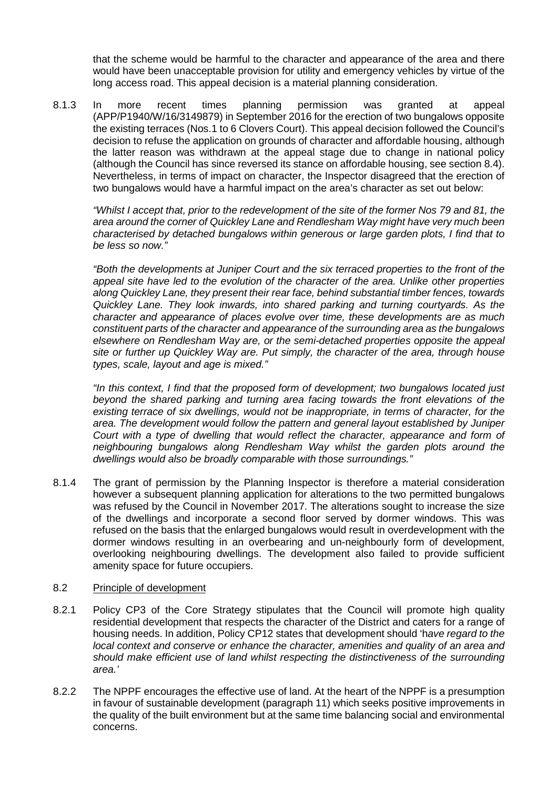that the scheme would be harmful to the character and appearance of the area and there would have been unacceptable provision for utility and emergency vehicles by virtue of the long access road. This appeal decision is a material planning consideration.

8.1.3 In more recent times planning permission was granted at appeal (APP/P1940/W/16/3149879) in September 2016 for the erection of two bungalows opposite the existing terraces (Nos.1 to 6 Clovers Court). This appeal decision followed the Council's decision to refuse the application on grounds of character and affordable housing, although the latter reason was withdrawn at the appeal stage due to change in national policy (although the Council has since reversed its stance on affordable housing, see section 8.4). Nevertheless, in terms of impact on character, the Inspector disagreed that the erection of two bungalows would have a harmful impact on the area's character as set out below:

*"Whilst I accept that, prior to the redevelopment of the site of the former Nos 79 and 81, the area around the corner of Quickley Lane and Rendlesham Way might have very much been characterised by detached bungalows within generous or large garden plots, I find that to be less so now."*

*"Both the developments at Juniper Court and the six terraced properties to the front of the appeal site have led to the evolution of the character of the area. Unlike other properties along Quickley Lane, they present their rear face, behind substantial timber fences, towards Quickley Lane. They look inwards, into shared parking and turning courtyards. As the character and appearance of places evolve over time, these developments are as much constituent parts of the character and appearance of the surrounding area as the bungalows elsewhere on Rendlesham Way are, or the semi-detached properties opposite the appeal site or further up Quickley Way are. Put simply, the character of the area, through house types, scale, layout and age is mixed."*

*"In this context, I find that the proposed form of development; two bungalows located just beyond the shared parking and turning area facing towards the front elevations of the existing terrace of six dwellings, would not be inappropriate, in terms of character, for the area. The development would follow the pattern and general layout established by Juniper Court with a type of dwelling that would reflect the character, appearance and form of neighbouring bungalows along Rendlesham Way whilst the garden plots around the dwellings would also be broadly comparable with those surroundings."*

8.1.4 The grant of permission by the Planning Inspector is therefore a material consideration however a subsequent planning application for alterations to the two permitted bungalows was refused by the Council in November 2017. The alterations sought to increase the size of the dwellings and incorporate a second floor served by dormer windows. This was refused on the basis that the enlarged bungalows would result in overdevelopment with the dormer windows resulting in an overbearing and un-neighbourly form of development, overlooking neighbouring dwellings. The development also failed to provide sufficient amenity space for future occupiers.

### 8.2 Principle of development

- 8.2.1 Policy CP3 of the Core Strategy stipulates that the Council will promote high quality residential development that respects the character of the District and caters for a range of housing needs. In addition, Policy CP12 states that development should 'h*ave regard to the local context and conserve or enhance the character, amenities and quality of an area and should make efficient use of land whilst respecting the distinctiveness of the surrounding area.'*
- 8.2.2 The NPPF encourages the effective use of land. At the heart of the NPPF is a presumption in favour of sustainable development (paragraph 11) which seeks positive improvements in the quality of the built environment but at the same time balancing social and environmental concerns.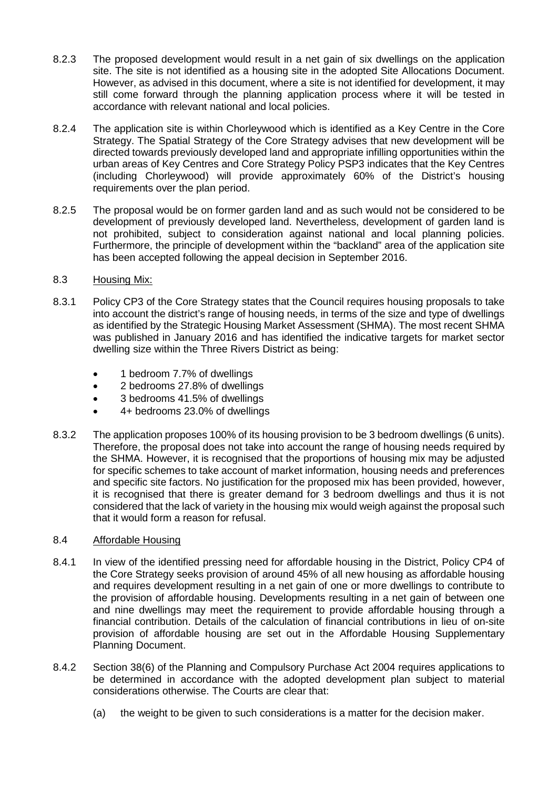- 8.2.3 The proposed development would result in a net gain of six dwellings on the application site. The site is not identified as a housing site in the adopted Site Allocations Document. However, as advised in this document, where a site is not identified for development, it may still come forward through the planning application process where it will be tested in accordance with relevant national and local policies.
- 8.2.4 The application site is within Chorleywood which is identified as a Key Centre in the Core Strategy. The Spatial Strategy of the Core Strategy advises that new development will be directed towards previously developed land and appropriate infilling opportunities within the urban areas of Key Centres and Core Strategy Policy PSP3 indicates that the Key Centres (including Chorleywood) will provide approximately 60% of the District's housing requirements over the plan period.
- 8.2.5 The proposal would be on former garden land and as such would not be considered to be development of previously developed land. Nevertheless, development of garden land is not prohibited, subject to consideration against national and local planning policies. Furthermore, the principle of development within the "backland" area of the application site has been accepted following the appeal decision in September 2016.

### 8.3 Housing Mix:

- 8.3.1 Policy CP3 of the Core Strategy states that the Council requires housing proposals to take into account the district's range of housing needs, in terms of the size and type of dwellings as identified by the Strategic Housing Market Assessment (SHMA). The most recent SHMA was published in January 2016 and has identified the indicative targets for market sector dwelling size within the Three Rivers District as being:
	- 1 bedroom 7.7% of dwellings
	- 2 bedrooms 27.8% of dwellings
	- 3 bedrooms 41.5% of dwellings
	- 4+ bedrooms 23.0% of dwellings
- 8.3.2 The application proposes 100% of its housing provision to be 3 bedroom dwellings (6 units). Therefore, the proposal does not take into account the range of housing needs required by the SHMA. However, it is recognised that the proportions of housing mix may be adjusted for specific schemes to take account of market information, housing needs and preferences and specific site factors. No justification for the proposed mix has been provided, however, it is recognised that there is greater demand for 3 bedroom dwellings and thus it is not considered that the lack of variety in the housing mix would weigh against the proposal such that it would form a reason for refusal.

### 8.4 Affordable Housing

- 8.4.1 In view of the identified pressing need for affordable housing in the District, Policy CP4 of the Core Strategy seeks provision of around 45% of all new housing as affordable housing and requires development resulting in a net gain of one or more dwellings to contribute to the provision of affordable housing. Developments resulting in a net gain of between one and nine dwellings may meet the requirement to provide affordable housing through a financial contribution. Details of the calculation of financial contributions in lieu of on-site provision of affordable housing are set out in the Affordable Housing Supplementary Planning Document.
- 8.4.2 Section 38(6) of the Planning and Compulsory Purchase Act 2004 requires applications to be determined in accordance with the adopted development plan subject to material considerations otherwise. The Courts are clear that:
	- (a) the weight to be given to such considerations is a matter for the decision maker.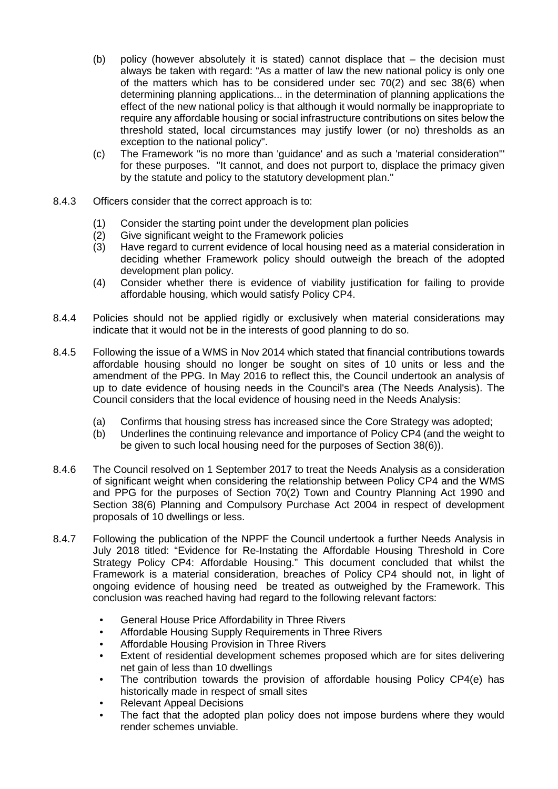- (b) policy (however absolutely it is stated) cannot displace that the decision must always be taken with regard: "As a matter of law the new national policy is only one of the matters which has to be considered under sec 70(2) and sec 38(6) when determining planning applications... in the determination of planning applications the effect of the new national policy is that although it would normally be inappropriate to require any affordable housing or social infrastructure contributions on sites below the threshold stated, local circumstances may justify lower (or no) thresholds as an exception to the national policy".
- (c) The Framework "is no more than 'guidance' and as such a 'material consideration'" for these purposes. "It cannot, and does not purport to, displace the primacy given by the statute and policy to the statutory development plan."
- 8.4.3 Officers consider that the correct approach is to:
	- (1) Consider the starting point under the development plan policies
	- (2) Give significant weight to the Framework policies
	- (3) Have regard to current evidence of local housing need as a material consideration in deciding whether Framework policy should outweigh the breach of the adopted development plan policy.
	- (4) Consider whether there is evidence of viability justification for failing to provide affordable housing, which would satisfy Policy CP4.
- 8.4.4 Policies should not be applied rigidly or exclusively when material considerations may indicate that it would not be in the interests of good planning to do so.
- 8.4.5 Following the issue of a WMS in Nov 2014 which stated that financial contributions towards affordable housing should no longer be sought on sites of 10 units or less and the amendment of the PPG. In May 2016 to reflect this, the Council undertook an analysis of up to date evidence of housing needs in the Council's area (The Needs Analysis). The Council considers that the local evidence of housing need in the Needs Analysis:
	- (a) Confirms that housing stress has increased since the Core Strategy was adopted;
	- (b) Underlines the continuing relevance and importance of Policy CP4 (and the weight to be given to such local housing need for the purposes of Section 38(6)).
- 8.4.6 The Council resolved on 1 September 2017 to treat the Needs Analysis as a consideration of significant weight when considering the relationship between Policy CP4 and the WMS and PPG for the purposes of Section 70(2) Town and Country Planning Act 1990 and Section 38(6) Planning and Compulsory Purchase Act 2004 in respect of development proposals of 10 dwellings or less.
- 8.4.7 Following the publication of the NPPF the Council undertook a further Needs Analysis in July 2018 titled: "Evidence for Re-Instating the Affordable Housing Threshold in Core Strategy Policy CP4: Affordable Housing." This document concluded that whilst the Framework is a material consideration, breaches of Policy CP4 should not, in light of ongoing evidence of housing need be treated as outweighed by the Framework. This conclusion was reached having had regard to the following relevant factors:
	- General House Price Affordability in Three Rivers
	- Affordable Housing Supply Requirements in Three Rivers
	- Affordable Housing Provision in Three Rivers
	- Extent of residential development schemes proposed which are for sites delivering net gain of less than 10 dwellings
	- The contribution towards the provision of affordable housing Policy CP4(e) has historically made in respect of small sites
	- Relevant Appeal Decisions
	- The fact that the adopted plan policy does not impose burdens where they would render schemes unviable.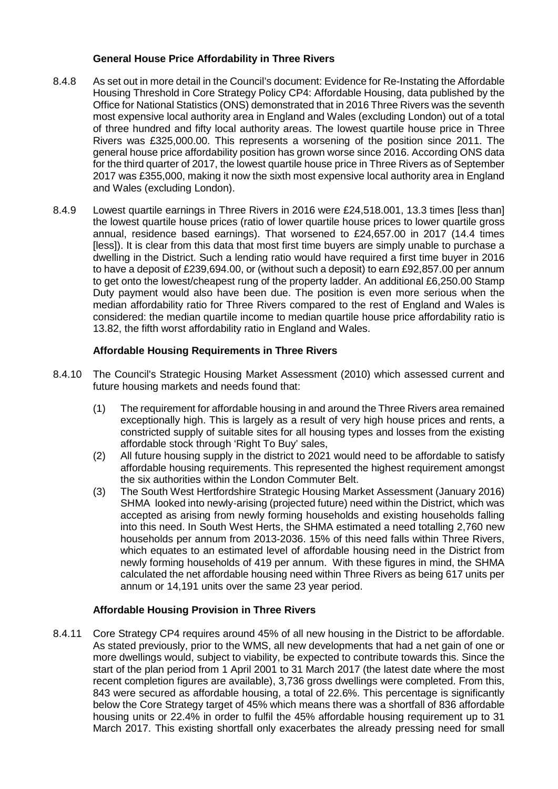## **General House Price Affordability in Three Rivers**

- 8.4.8 As set out in more detail in the Council's document: Evidence for Re-Instating the Affordable Housing Threshold in Core Strategy Policy CP4: Affordable Housing, data published by the Office for National Statistics (ONS) demonstrated that in 2016 Three Rivers was the seventh most expensive local authority area in England and Wales (excluding London) out of a total of three hundred and fifty local authority areas. The lowest quartile house price in Three Rivers was £325,000.00. This represents a worsening of the position since 2011. The general house price affordability position has grown worse since 2016. According ONS data for the third quarter of 2017, the lowest quartile house price in Three Rivers as of September 2017 was £355,000, making it now the sixth most expensive local authority area in England and Wales (excluding London).
- 8.4.9 Lowest quartile earnings in Three Rivers in 2016 were £24,518.001, 13.3 times [less than] the lowest quartile house prices (ratio of lower quartile house prices to lower quartile gross annual, residence based earnings). That worsened to £24,657.00 in 2017 (14.4 times [less]). It is clear from this data that most first time buyers are simply unable to purchase a dwelling in the District. Such a lending ratio would have required a first time buyer in 2016 to have a deposit of £239,694.00, or (without such a deposit) to earn £92,857.00 per annum to get onto the lowest/cheapest rung of the property ladder. An additional £6,250.00 Stamp Duty payment would also have been due. The position is even more serious when the median affordability ratio for Three Rivers compared to the rest of England and Wales is considered: the median quartile income to median quartile house price affordability ratio is 13.82, the fifth worst affordability ratio in England and Wales.

# **Affordable Housing Requirements in Three Rivers**

- 8.4.10 The Council's Strategic Housing Market Assessment (2010) which assessed current and future housing markets and needs found that:
	- (1) The requirement for affordable housing in and around the Three Rivers area remained exceptionally high. This is largely as a result of very high house prices and rents, a constricted supply of suitable sites for all housing types and losses from the existing affordable stock through 'Right To Buy' sales,
	- (2) All future housing supply in the district to 2021 would need to be affordable to satisfy affordable housing requirements. This represented the highest requirement amongst the six authorities within the London Commuter Belt.
	- (3) The South West Hertfordshire Strategic Housing Market Assessment (January 2016) SHMA looked into newly-arising (projected future) need within the District, which was accepted as arising from newly forming households and existing households falling into this need. In South West Herts, the SHMA estimated a need totalling 2,760 new households per annum from 2013-2036. 15% of this need falls within Three Rivers, which equates to an estimated level of affordable housing need in the District from newly forming households of 419 per annum. With these figures in mind, the SHMA calculated the net affordable housing need within Three Rivers as being 617 units per annum or 14,191 units over the same 23 year period.

# **Affordable Housing Provision in Three Rivers**

8.4.11 Core Strategy CP4 requires around 45% of all new housing in the District to be affordable. As stated previously, prior to the WMS, all new developments that had a net gain of one or more dwellings would, subject to viability, be expected to contribute towards this. Since the start of the plan period from 1 April 2001 to 31 March 2017 (the latest date where the most recent completion figures are available), 3,736 gross dwellings were completed. From this, 843 were secured as affordable housing, a total of 22.6%. This percentage is significantly below the Core Strategy target of 45% which means there was a shortfall of 836 affordable housing units or 22.4% in order to fulfil the 45% affordable housing requirement up to 31 March 2017. This existing shortfall only exacerbates the already pressing need for small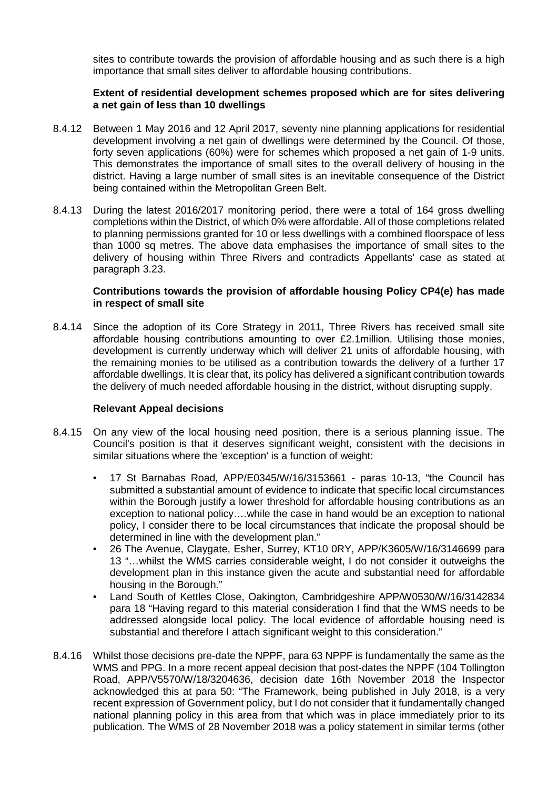sites to contribute towards the provision of affordable housing and as such there is a high importance that small sites deliver to affordable housing contributions.

### **Extent of residential development schemes proposed which are for sites delivering a net gain of less than 10 dwellings**

- 8.4.12 Between 1 May 2016 and 12 April 2017, seventy nine planning applications for residential development involving a net gain of dwellings were determined by the Council. Of those, forty seven applications (60%) were for schemes which proposed a net gain of 1-9 units. This demonstrates the importance of small sites to the overall delivery of housing in the district. Having a large number of small sites is an inevitable consequence of the District being contained within the Metropolitan Green Belt.
- 8.4.13 During the latest 2016/2017 monitoring period, there were a total of 164 gross dwelling completions within the District, of which 0% were affordable. All of those completions related to planning permissions granted for 10 or less dwellings with a combined floorspace of less than 1000 sq metres. The above data emphasises the importance of small sites to the delivery of housing within Three Rivers and contradicts Appellants' case as stated at paragraph 3.23.

#### **Contributions towards the provision of affordable housing Policy CP4(e) has made in respect of small site**

8.4.14 Since the adoption of its Core Strategy in 2011, Three Rivers has received small site affordable housing contributions amounting to over £2.1million. Utilising those monies, development is currently underway which will deliver 21 units of affordable housing, with the remaining monies to be utilised as a contribution towards the delivery of a further 17 affordable dwellings. It is clear that, its policy has delivered a significant contribution towards the delivery of much needed affordable housing in the district, without disrupting supply.

### **Relevant Appeal decisions**

- 8.4.15 On any view of the local housing need position, there is a serious planning issue. The Council's position is that it deserves significant weight, consistent with the decisions in similar situations where the 'exception' is a function of weight:
	- 17 St Barnabas Road, APP/E0345/W/16/3153661 paras 10-13, "the Council has submitted a substantial amount of evidence to indicate that specific local circumstances within the Borough justify a lower threshold for affordable housing contributions as an exception to national policy….while the case in hand would be an exception to national policy, I consider there to be local circumstances that indicate the proposal should be determined in line with the development plan."
	- 26 The Avenue, Claygate, Esher, Surrey, KT10 0RY, APP/K3605/W/16/3146699 para 13 "…whilst the WMS carries considerable weight, I do not consider it outweighs the development plan in this instance given the acute and substantial need for affordable housing in the Borough."
	- Land South of Kettles Close, Oakington, Cambridgeshire APP/W0530/W/16/3142834 para 18 "Having regard to this material consideration I find that the WMS needs to be addressed alongside local policy. The local evidence of affordable housing need is substantial and therefore I attach significant weight to this consideration."
- 8.4.16 Whilst those decisions pre-date the NPPF, para 63 NPPF is fundamentally the same as the WMS and PPG. In a more recent appeal decision that post-dates the NPPF (104 Tollington Road, APP/V5570/W/18/3204636, decision date 16th November 2018 the Inspector acknowledged this at para 50: "The Framework, being published in July 2018, is a very recent expression of Government policy, but I do not consider that it fundamentally changed national planning policy in this area from that which was in place immediately prior to its publication. The WMS of 28 November 2018 was a policy statement in similar terms (other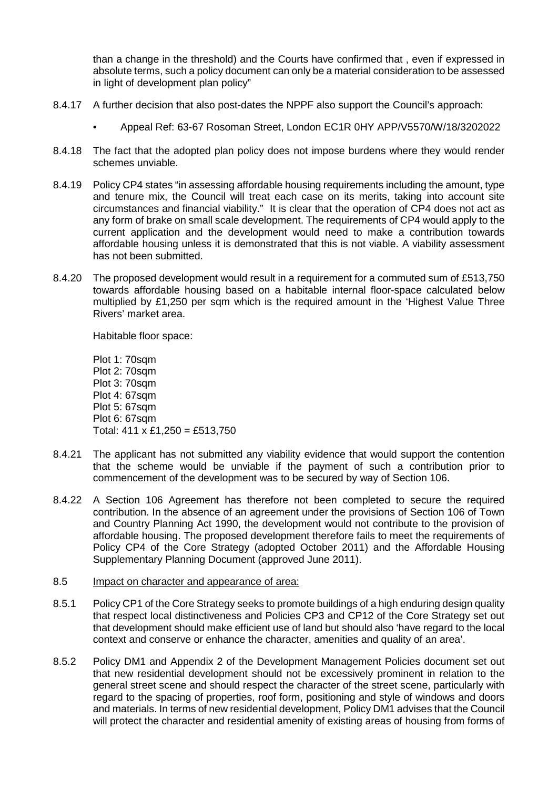than a change in the threshold) and the Courts have confirmed that , even if expressed in absolute terms, such a policy document can only be a material consideration to be assessed in light of development plan policy"

- 8.4.17 A further decision that also post-dates the NPPF also support the Council's approach:
	- Appeal Ref: 63-67 Rosoman Street, London EC1R 0HY APP/V5570/W/18/3202022
- 8.4.18 The fact that the adopted plan policy does not impose burdens where they would render schemes unviable.
- 8.4.19 Policy CP4 states "in assessing affordable housing requirements including the amount, type and tenure mix, the Council will treat each case on its merits, taking into account site circumstances and financial viability." It is clear that the operation of CP4 does not act as any form of brake on small scale development. The requirements of CP4 would apply to the current application and the development would need to make a contribution towards affordable housing unless it is demonstrated that this is not viable. A viability assessment has not been submitted.
- 8.4.20 The proposed development would result in a requirement for a commuted sum of £513,750 towards affordable housing based on a habitable internal floor-space calculated below multiplied by £1,250 per sqm which is the required amount in the 'Highest Value Three Rivers' market area.

Habitable floor space:

Plot 1: 70sqm Plot 2: 70sqm Plot 3: 70sqm Plot 4: 67sqm Plot 5: 67sqm Plot 6: 67sqm Total:  $411 \times £1,250 = £513,750$ 

- 8.4.21 The applicant has not submitted any viability evidence that would support the contention that the scheme would be unviable if the payment of such a contribution prior to commencement of the development was to be secured by way of Section 106.
- 8.4.22 A Section 106 Agreement has therefore not been completed to secure the required contribution. In the absence of an agreement under the provisions of Section 106 of Town and Country Planning Act 1990, the development would not contribute to the provision of affordable housing. The proposed development therefore fails to meet the requirements of Policy CP4 of the Core Strategy (adopted October 2011) and the Affordable Housing Supplementary Planning Document (approved June 2011).

#### 8.5 Impact on character and appearance of area:

- 8.5.1 Policy CP1 of the Core Strategy seeks to promote buildings of a high enduring design quality that respect local distinctiveness and Policies CP3 and CP12 of the Core Strategy set out that development should make efficient use of land but should also 'have regard to the local context and conserve or enhance the character, amenities and quality of an area'.
- 8.5.2 Policy DM1 and Appendix 2 of the Development Management Policies document set out that new residential development should not be excessively prominent in relation to the general street scene and should respect the character of the street scene, particularly with regard to the spacing of properties, roof form, positioning and style of windows and doors and materials. In terms of new residential development, Policy DM1 advises that the Council will protect the character and residential amenity of existing areas of housing from forms of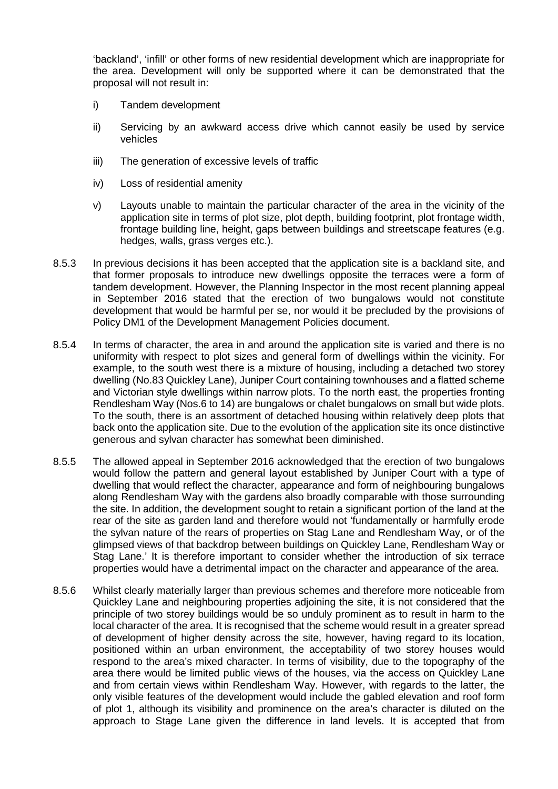'backland', 'infill' or other forms of new residential development which are inappropriate for the area. Development will only be supported where it can be demonstrated that the proposal will not result in:

- i) Tandem development
- ii) Servicing by an awkward access drive which cannot easily be used by service vehicles
- iii) The generation of excessive levels of traffic
- iv) Loss of residential amenity
- v) Layouts unable to maintain the particular character of the area in the vicinity of the application site in terms of plot size, plot depth, building footprint, plot frontage width, frontage building line, height, gaps between buildings and streetscape features (e.g. hedges, walls, grass verges etc.).
- 8.5.3 In previous decisions it has been accepted that the application site is a backland site, and that former proposals to introduce new dwellings opposite the terraces were a form of tandem development. However, the Planning Inspector in the most recent planning appeal in September 2016 stated that the erection of two bungalows would not constitute development that would be harmful per se, nor would it be precluded by the provisions of Policy DM1 of the Development Management Policies document.
- 8.5.4 In terms of character, the area in and around the application site is varied and there is no uniformity with respect to plot sizes and general form of dwellings within the vicinity. For example, to the south west there is a mixture of housing, including a detached two storey dwelling (No.83 Quickley Lane), Juniper Court containing townhouses and a flatted scheme and Victorian style dwellings within narrow plots. To the north east, the properties fronting Rendlesham Way (Nos.6 to 14) are bungalows or chalet bungalows on small but wide plots. To the south, there is an assortment of detached housing within relatively deep plots that back onto the application site. Due to the evolution of the application site its once distinctive generous and sylvan character has somewhat been diminished.
- 8.5.5 The allowed appeal in September 2016 acknowledged that the erection of two bungalows would follow the pattern and general layout established by Juniper Court with a type of dwelling that would reflect the character, appearance and form of neighbouring bungalows along Rendlesham Way with the gardens also broadly comparable with those surrounding the site. In addition, the development sought to retain a significant portion of the land at the rear of the site as garden land and therefore would not 'fundamentally or harmfully erode the sylvan nature of the rears of properties on Stag Lane and Rendlesham Way, or of the glimpsed views of that backdrop between buildings on Quickley Lane, Rendlesham Way or Stag Lane.' It is therefore important to consider whether the introduction of six terrace properties would have a detrimental impact on the character and appearance of the area.
- 8.5.6 Whilst clearly materially larger than previous schemes and therefore more noticeable from Quickley Lane and neighbouring properties adjoining the site, it is not considered that the principle of two storey buildings would be so unduly prominent as to result in harm to the local character of the area. It is recognised that the scheme would result in a greater spread of development of higher density across the site, however, having regard to its location, positioned within an urban environment, the acceptability of two storey houses would respond to the area's mixed character. In terms of visibility, due to the topography of the area there would be limited public views of the houses, via the access on Quickley Lane and from certain views within Rendlesham Way. However, with regards to the latter, the only visible features of the development would include the gabled elevation and roof form of plot 1, although its visibility and prominence on the area's character is diluted on the approach to Stage Lane given the difference in land levels. It is accepted that from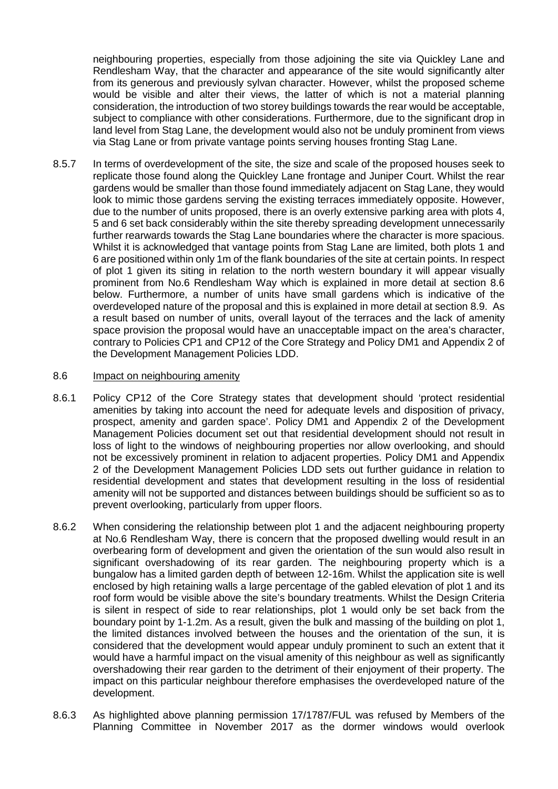neighbouring properties, especially from those adjoining the site via Quickley Lane and Rendlesham Way, that the character and appearance of the site would significantly alter from its generous and previously sylvan character. However, whilst the proposed scheme would be visible and alter their views, the latter of which is not a material planning consideration, the introduction of two storey buildings towards the rear would be acceptable, subject to compliance with other considerations. Furthermore, due to the significant drop in land level from Stag Lane, the development would also not be unduly prominent from views via Stag Lane or from private vantage points serving houses fronting Stag Lane.

8.5.7 In terms of overdevelopment of the site, the size and scale of the proposed houses seek to replicate those found along the Quickley Lane frontage and Juniper Court. Whilst the rear gardens would be smaller than those found immediately adjacent on Stag Lane, they would look to mimic those gardens serving the existing terraces immediately opposite. However, due to the number of units proposed, there is an overly extensive parking area with plots 4, 5 and 6 set back considerably within the site thereby spreading development unnecessarily further rearwards towards the Stag Lane boundaries where the character is more spacious. Whilst it is acknowledged that vantage points from Stag Lane are limited, both plots 1 and 6 are positioned within only 1m of the flank boundaries of the site at certain points. In respect of plot 1 given its siting in relation to the north western boundary it will appear visually prominent from No.6 Rendlesham Way which is explained in more detail at section 8.6 below. Furthermore, a number of units have small gardens which is indicative of the overdeveloped nature of the proposal and this is explained in more detail at section 8.9. As a result based on number of units, overall layout of the terraces and the lack of amenity space provision the proposal would have an unacceptable impact on the area's character, contrary to Policies CP1 and CP12 of the Core Strategy and Policy DM1 and Appendix 2 of the Development Management Policies LDD.

#### 8.6 Impact on neighbouring amenity

- 8.6.1 Policy CP12 of the Core Strategy states that development should 'protect residential amenities by taking into account the need for adequate levels and disposition of privacy, prospect, amenity and garden space'. Policy DM1 and Appendix 2 of the Development Management Policies document set out that residential development should not result in loss of light to the windows of neighbouring properties nor allow overlooking, and should not be excessively prominent in relation to adjacent properties. Policy DM1 and Appendix 2 of the Development Management Policies LDD sets out further guidance in relation to residential development and states that development resulting in the loss of residential amenity will not be supported and distances between buildings should be sufficient so as to prevent overlooking, particularly from upper floors.
- 8.6.2 When considering the relationship between plot 1 and the adjacent neighbouring property at No.6 Rendlesham Way, there is concern that the proposed dwelling would result in an overbearing form of development and given the orientation of the sun would also result in significant overshadowing of its rear garden. The neighbouring property which is a bungalow has a limited garden depth of between 12-16m. Whilst the application site is well enclosed by high retaining walls a large percentage of the gabled elevation of plot 1 and its roof form would be visible above the site's boundary treatments. Whilst the Design Criteria is silent in respect of side to rear relationships, plot 1 would only be set back from the boundary point by 1-1.2m. As a result, given the bulk and massing of the building on plot 1, the limited distances involved between the houses and the orientation of the sun, it is considered that the development would appear unduly prominent to such an extent that it would have a harmful impact on the visual amenity of this neighbour as well as significantly overshadowing their rear garden to the detriment of their enjoyment of their property. The impact on this particular neighbour therefore emphasises the overdeveloped nature of the development.
- 8.6.3 As highlighted above planning permission 17/1787/FUL was refused by Members of the Planning Committee in November 2017 as the dormer windows would overlook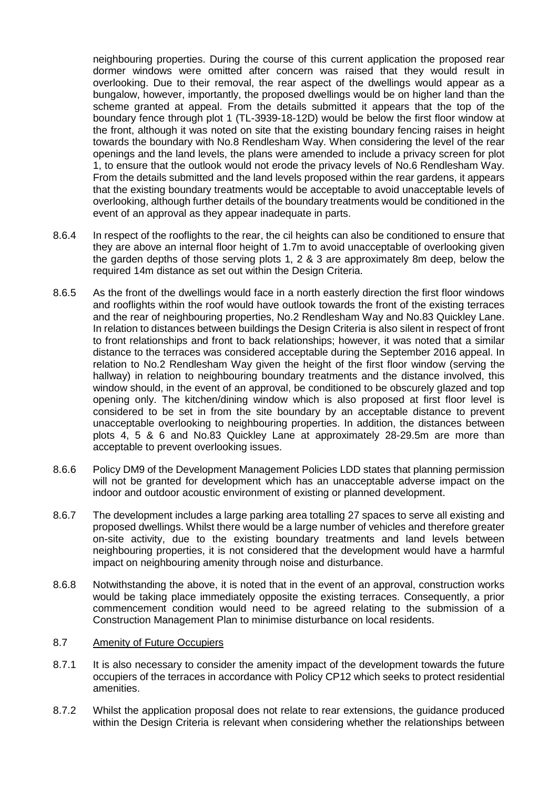neighbouring properties. During the course of this current application the proposed rear dormer windows were omitted after concern was raised that they would result in overlooking. Due to their removal, the rear aspect of the dwellings would appear as a bungalow, however, importantly, the proposed dwellings would be on higher land than the scheme granted at appeal. From the details submitted it appears that the top of the boundary fence through plot 1 (TL-3939-18-12D) would be below the first floor window at the front, although it was noted on site that the existing boundary fencing raises in height towards the boundary with No.8 Rendlesham Way. When considering the level of the rear openings and the land levels, the plans were amended to include a privacy screen for plot 1, to ensure that the outlook would not erode the privacy levels of No.6 Rendlesham Way. From the details submitted and the land levels proposed within the rear gardens, it appears that the existing boundary treatments would be acceptable to avoid unacceptable levels of overlooking, although further details of the boundary treatments would be conditioned in the event of an approval as they appear inadequate in parts.

- 8.6.4 In respect of the rooflights to the rear, the cil heights can also be conditioned to ensure that they are above an internal floor height of 1.7m to avoid unacceptable of overlooking given the garden depths of those serving plots 1, 2 & 3 are approximately 8m deep, below the required 14m distance as set out within the Design Criteria.
- 8.6.5 As the front of the dwellings would face in a north easterly direction the first floor windows and rooflights within the roof would have outlook towards the front of the existing terraces and the rear of neighbouring properties, No.2 Rendlesham Way and No.83 Quickley Lane. In relation to distances between buildings the Design Criteria is also silent in respect of front to front relationships and front to back relationships; however, it was noted that a similar distance to the terraces was considered acceptable during the September 2016 appeal. In relation to No.2 Rendlesham Way given the height of the first floor window (serving the hallway) in relation to neighbouring boundary treatments and the distance involved, this window should, in the event of an approval, be conditioned to be obscurely glazed and top opening only. The kitchen/dining window which is also proposed at first floor level is considered to be set in from the site boundary by an acceptable distance to prevent unacceptable overlooking to neighbouring properties. In addition, the distances between plots 4, 5 & 6 and No.83 Quickley Lane at approximately 28-29.5m are more than acceptable to prevent overlooking issues.
- 8.6.6 Policy DM9 of the Development Management Policies LDD states that planning permission will not be granted for development which has an unacceptable adverse impact on the indoor and outdoor acoustic environment of existing or planned development.
- 8.6.7 The development includes a large parking area totalling 27 spaces to serve all existing and proposed dwellings. Whilst there would be a large number of vehicles and therefore greater on-site activity, due to the existing boundary treatments and land levels between neighbouring properties, it is not considered that the development would have a harmful impact on neighbouring amenity through noise and disturbance.
- 8.6.8 Notwithstanding the above, it is noted that in the event of an approval, construction works would be taking place immediately opposite the existing terraces. Consequently, a prior commencement condition would need to be agreed relating to the submission of a Construction Management Plan to minimise disturbance on local residents.

#### 8.7 Amenity of Future Occupiers

- 8.7.1 It is also necessary to consider the amenity impact of the development towards the future occupiers of the terraces in accordance with Policy CP12 which seeks to protect residential amenities.
- 8.7.2 Whilst the application proposal does not relate to rear extensions, the guidance produced within the Design Criteria is relevant when considering whether the relationships between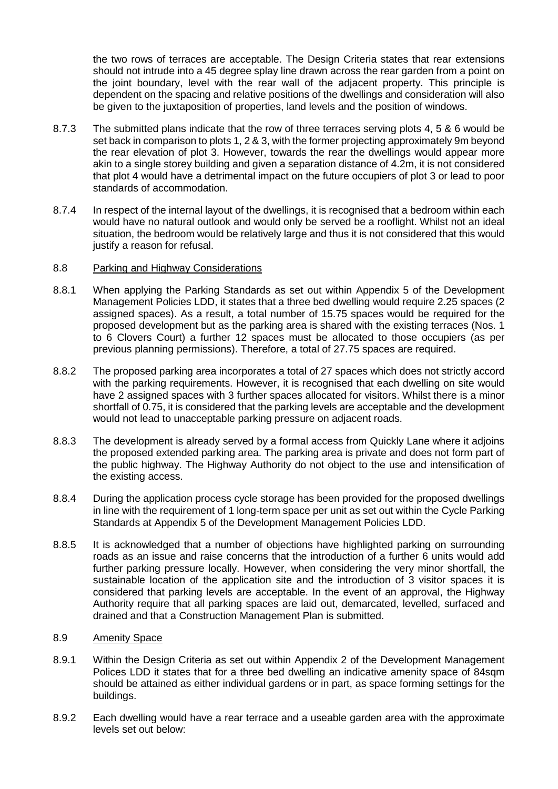the two rows of terraces are acceptable. The Design Criteria states that rear extensions should not intrude into a 45 degree splay line drawn across the rear garden from a point on the joint boundary, level with the rear wall of the adjacent property. This principle is dependent on the spacing and relative positions of the dwellings and consideration will also be given to the juxtaposition of properties, land levels and the position of windows.

- 8.7.3 The submitted plans indicate that the row of three terraces serving plots 4, 5 & 6 would be set back in comparison to plots 1, 2 & 3, with the former projecting approximately 9m beyond the rear elevation of plot 3. However, towards the rear the dwellings would appear more akin to a single storey building and given a separation distance of 4.2m, it is not considered that plot 4 would have a detrimental impact on the future occupiers of plot 3 or lead to poor standards of accommodation.
- 8.7.4 In respect of the internal layout of the dwellings, it is recognised that a bedroom within each would have no natural outlook and would only be served be a rooflight. Whilst not an ideal situation, the bedroom would be relatively large and thus it is not considered that this would justify a reason for refusal.

#### 8.8 Parking and Highway Considerations

- 8.8.1 When applying the Parking Standards as set out within Appendix 5 of the Development Management Policies LDD, it states that a three bed dwelling would require 2.25 spaces (2 assigned spaces). As a result, a total number of 15.75 spaces would be required for the proposed development but as the parking area is shared with the existing terraces (Nos. 1 to 6 Clovers Court) a further 12 spaces must be allocated to those occupiers (as per previous planning permissions). Therefore, a total of 27.75 spaces are required.
- 8.8.2 The proposed parking area incorporates a total of 27 spaces which does not strictly accord with the parking requirements. However, it is recognised that each dwelling on site would have 2 assigned spaces with 3 further spaces allocated for visitors. Whilst there is a minor shortfall of 0.75, it is considered that the parking levels are acceptable and the development would not lead to unacceptable parking pressure on adjacent roads.
- 8.8.3 The development is already served by a formal access from Quickly Lane where it adjoins the proposed extended parking area. The parking area is private and does not form part of the public highway. The Highway Authority do not object to the use and intensification of the existing access.
- 8.8.4 During the application process cycle storage has been provided for the proposed dwellings in line with the requirement of 1 long-term space per unit as set out within the Cycle Parking Standards at Appendix 5 of the Development Management Policies LDD.
- 8.8.5 It is acknowledged that a number of objections have highlighted parking on surrounding roads as an issue and raise concerns that the introduction of a further 6 units would add further parking pressure locally. However, when considering the very minor shortfall, the sustainable location of the application site and the introduction of 3 visitor spaces it is considered that parking levels are acceptable. In the event of an approval, the Highway Authority require that all parking spaces are laid out, demarcated, levelled, surfaced and drained and that a Construction Management Plan is submitted.

### 8.9 Amenity Space

- 8.9.1 Within the Design Criteria as set out within Appendix 2 of the Development Management Polices LDD it states that for a three bed dwelling an indicative amenity space of 84sqm should be attained as either individual gardens or in part, as space forming settings for the buildings.
- 8.9.2 Each dwelling would have a rear terrace and a useable garden area with the approximate levels set out below: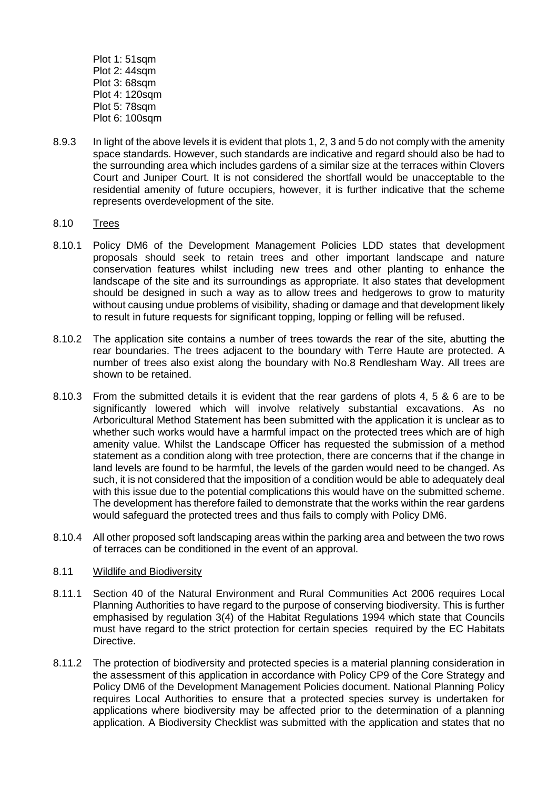- Plot 1: 51sqm Plot 2: 44sqm Plot 3: 68sqm Plot 4: 120sqm Plot 5: 78sqm Plot 6: 100sqm
- 8.9.3 In light of the above levels it is evident that plots 1, 2, 3 and 5 do not comply with the amenity space standards. However, such standards are indicative and regard should also be had to the surrounding area which includes gardens of a similar size at the terraces within Clovers Court and Juniper Court. It is not considered the shortfall would be unacceptable to the residential amenity of future occupiers, however, it is further indicative that the scheme represents overdevelopment of the site.

#### 8.10 Trees

- 8.10.1 Policy DM6 of the Development Management Policies LDD states that development proposals should seek to retain trees and other important landscape and nature conservation features whilst including new trees and other planting to enhance the landscape of the site and its surroundings as appropriate. It also states that development should be designed in such a way as to allow trees and hedgerows to grow to maturity without causing undue problems of visibility, shading or damage and that development likely to result in future requests for significant topping, lopping or felling will be refused.
- 8.10.2 The application site contains a number of trees towards the rear of the site, abutting the rear boundaries. The trees adjacent to the boundary with Terre Haute are protected. A number of trees also exist along the boundary with No.8 Rendlesham Way. All trees are shown to be retained.
- 8.10.3 From the submitted details it is evident that the rear gardens of plots 4, 5 & 6 are to be significantly lowered which will involve relatively substantial excavations. As no Arboricultural Method Statement has been submitted with the application it is unclear as to whether such works would have a harmful impact on the protected trees which are of high amenity value. Whilst the Landscape Officer has requested the submission of a method statement as a condition along with tree protection, there are concerns that if the change in land levels are found to be harmful, the levels of the garden would need to be changed. As such, it is not considered that the imposition of a condition would be able to adequately deal with this issue due to the potential complications this would have on the submitted scheme. The development has therefore failed to demonstrate that the works within the rear gardens would safeguard the protected trees and thus fails to comply with Policy DM6.
- 8.10.4 All other proposed soft landscaping areas within the parking area and between the two rows of terraces can be conditioned in the event of an approval.

#### 8.11 Wildlife and Biodiversity

- 8.11.1 Section 40 of the Natural Environment and Rural Communities Act 2006 requires Local Planning Authorities to have regard to the purpose of conserving biodiversity. This is further emphasised by regulation 3(4) of the Habitat Regulations 1994 which state that Councils must have regard to the strict protection for certain species required by the EC Habitats Directive.
- 8.11.2 The protection of biodiversity and protected species is a material planning consideration in the assessment of this application in accordance with Policy CP9 of the Core Strategy and Policy DM6 of the Development Management Policies document. National Planning Policy requires Local Authorities to ensure that a protected species survey is undertaken for applications where biodiversity may be affected prior to the determination of a planning application. A Biodiversity Checklist was submitted with the application and states that no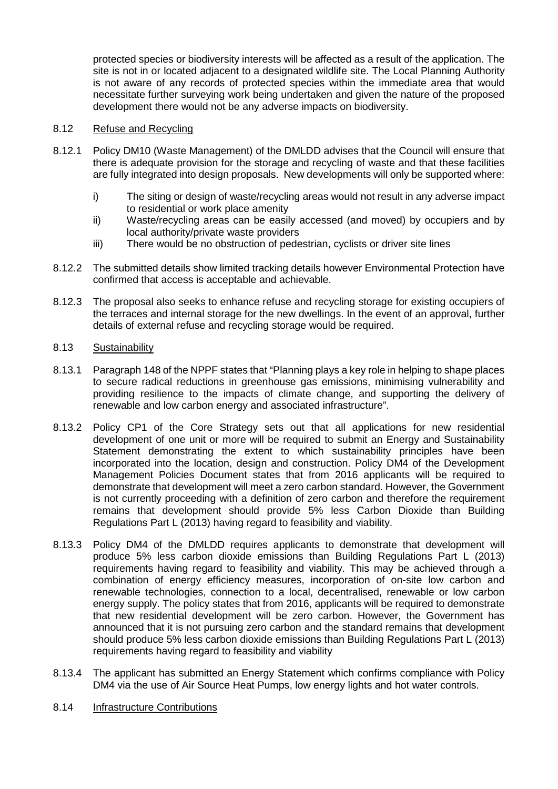protected species or biodiversity interests will be affected as a result of the application. The site is not in or located adiacent to a designated wildlife site. The Local Planning Authority is not aware of any records of protected species within the immediate area that would necessitate further surveying work being undertaken and given the nature of the proposed development there would not be any adverse impacts on biodiversity.

### 8.12 Refuse and Recycling

- 8.12.1 Policy DM10 (Waste Management) of the DMLDD advises that the Council will ensure that there is adequate provision for the storage and recycling of waste and that these facilities are fully integrated into design proposals. New developments will only be supported where:
	- i) The siting or design of waste/recycling areas would not result in any adverse impact to residential or work place amenity
	- ii) Waste/recycling areas can be easily accessed (and moved) by occupiers and by local authority/private waste providers
	- iii) There would be no obstruction of pedestrian, cyclists or driver site lines
- 8.12.2 The submitted details show limited tracking details however Environmental Protection have confirmed that access is acceptable and achievable.
- 8.12.3 The proposal also seeks to enhance refuse and recycling storage for existing occupiers of the terraces and internal storage for the new dwellings. In the event of an approval, further details of external refuse and recycling storage would be required.

### 8.13 Sustainability

- 8.13.1 Paragraph 148 of the NPPF states that "Planning plays a key role in helping to shape places to secure radical reductions in greenhouse gas emissions, minimising vulnerability and providing resilience to the impacts of climate change, and supporting the delivery of renewable and low carbon energy and associated infrastructure".
- 8.13.2 Policy CP1 of the Core Strategy sets out that all applications for new residential development of one unit or more will be required to submit an Energy and Sustainability Statement demonstrating the extent to which sustainability principles have been incorporated into the location, design and construction. Policy DM4 of the Development Management Policies Document states that from 2016 applicants will be required to demonstrate that development will meet a zero carbon standard. However, the Government is not currently proceeding with a definition of zero carbon and therefore the requirement remains that development should provide 5% less Carbon Dioxide than Building Regulations Part L (2013) having regard to feasibility and viability.
- 8.13.3 Policy DM4 of the DMLDD requires applicants to demonstrate that development will produce 5% less carbon dioxide emissions than Building Regulations Part L (2013) requirements having regard to feasibility and viability. This may be achieved through a combination of energy efficiency measures, incorporation of on-site low carbon and renewable technologies, connection to a local, decentralised, renewable or low carbon energy supply. The policy states that from 2016, applicants will be required to demonstrate that new residential development will be zero carbon. However, the Government has announced that it is not pursuing zero carbon and the standard remains that development should produce 5% less carbon dioxide emissions than Building Regulations Part L (2013) requirements having regard to feasibility and viability
- 8.13.4 The applicant has submitted an Energy Statement which confirms compliance with Policy DM4 via the use of Air Source Heat Pumps, low energy lights and hot water controls.
- 8.14 Infrastructure Contributions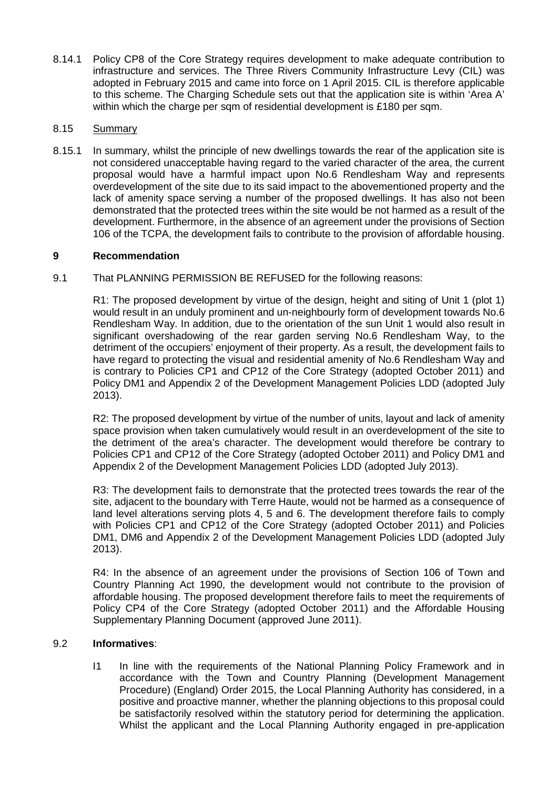8.14.1 Policy CP8 of the Core Strategy requires development to make adequate contribution to infrastructure and services. The Three Rivers Community Infrastructure Levy (CIL) was adopted in February 2015 and came into force on 1 April 2015. CIL is therefore applicable to this scheme. The Charging Schedule sets out that the application site is within 'Area A' within which the charge per sqm of residential development is £180 per sqm.

## 8.15 Summary

8.15.1 In summary, whilst the principle of new dwellings towards the rear of the application site is not considered unacceptable having regard to the varied character of the area, the current proposal would have a harmful impact upon No.6 Rendlesham Way and represents overdevelopment of the site due to its said impact to the abovementioned property and the lack of amenity space serving a number of the proposed dwellings. It has also not been demonstrated that the protected trees within the site would be not harmed as a result of the development. Furthermore, in the absence of an agreement under the provisions of Section 106 of the TCPA, the development fails to contribute to the provision of affordable housing.

## **9 Recommendation**

9.1 That PLANNING PERMISSION BE REFUSED for the following reasons:

R1: The proposed development by virtue of the design, height and siting of Unit 1 (plot 1) would result in an unduly prominent and un-neighbourly form of development towards No.6 Rendlesham Way. In addition, due to the orientation of the sun Unit 1 would also result in significant overshadowing of the rear garden serving No.6 Rendlesham Way, to the detriment of the occupiers' enjoyment of their property. As a result, the development fails to have regard to protecting the visual and residential amenity of No.6 Rendlesham Way and is contrary to Policies CP1 and CP12 of the Core Strategy (adopted October 2011) and Policy DM1 and Appendix 2 of the Development Management Policies LDD (adopted July 2013).

R2: The proposed development by virtue of the number of units, layout and lack of amenity space provision when taken cumulatively would result in an overdevelopment of the site to the detriment of the area's character. The development would therefore be contrary to Policies CP1 and CP12 of the Core Strategy (adopted October 2011) and Policy DM1 and Appendix 2 of the Development Management Policies LDD (adopted July 2013).

R3: The development fails to demonstrate that the protected trees towards the rear of the site, adjacent to the boundary with Terre Haute, would not be harmed as a consequence of land level alterations serving plots 4, 5 and 6. The development therefore fails to comply with Policies CP1 and CP12 of the Core Strategy (adopted October 2011) and Policies DM1, DM6 and Appendix 2 of the Development Management Policies LDD (adopted July 2013).

R4: In the absence of an agreement under the provisions of Section 106 of Town and Country Planning Act 1990, the development would not contribute to the provision of affordable housing. The proposed development therefore fails to meet the requirements of Policy CP4 of the Core Strategy (adopted October 2011) and the Affordable Housing Supplementary Planning Document (approved June 2011).

### 9.2 **Informatives**:

I1 In line with the requirements of the National Planning Policy Framework and in accordance with the Town and Country Planning (Development Management Procedure) (England) Order 2015, the Local Planning Authority has considered, in a positive and proactive manner, whether the planning objections to this proposal could be satisfactorily resolved within the statutory period for determining the application. Whilst the applicant and the Local Planning Authority engaged in pre-application